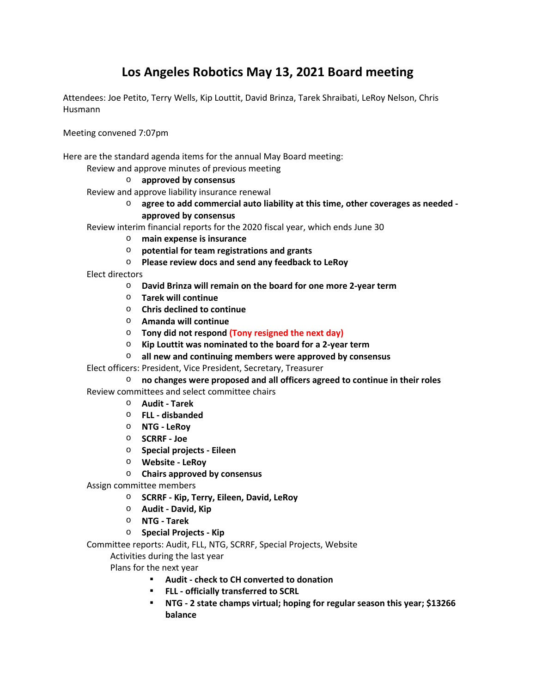# **Los Angeles Robotics May 13, 2021 Board meeting**

Attendees: Joe Petito, Terry Wells, Kip Louttit, David Brinza, Tarek Shraibati, LeRoy Nelson, Chris Husmann

Meeting convened 7:07pm

Here are the standard agenda items for the annual May Board meeting:

Review and approve minutes of previous meeting

### o **approved by consensus**

- Review and approve liability insurance renewal
	- o **agree to add commercial auto liability at this time, other coverages as needed approved by consensus**
- Review interim financial reports for the 2020 fiscal year, which ends June 30
	- o **main expense is insurance**
	- o **potential for team registrations and grants**
	- o **Please review docs and send any feedback to LeRoy**
- Elect directors
	- o **David Brinza will remain on the board for one more 2-year term**
	- o **Tarek will continue**
	- o **Chris declined to continue**
	- o **Amanda will continue**
	- o **Tony did not respond (Tony resigned the next day)**
	- o **Kip Louttit was nominated to the board for a 2-year term**
	- o **all new and continuing members were approved by consensus**
- Elect officers: President, Vice President, Secretary, Treasurer
	- o **no changes were proposed and all officers agreed to continue in their roles**

Review committees and select committee chairs

- o **Audit Tarek**
- o **FLL disbanded**
- o **NTG LeRoy**
- o **SCRRF Joe**
- o **Special projects Eileen**
- o **Website LeRoy**
- o **Chairs approved by consensus**
- Assign committee members
	- o **SCRRF Kip, Terry, Eileen, David, LeRoy**
	- o **Audit David, Kip**
	- o **NTG Tarek**
	- o **Special Projects Kip**

Committee reports: Audit, FLL, NTG, SCRRF, Special Projects, Website

Activities during the last year

Plans for the next year

- **Audit check to CH converted to donation**
- **FLL officially transferred to SCRL**
- **NTG 2 state champs virtual; hoping for regular season this year; \$13266 balance**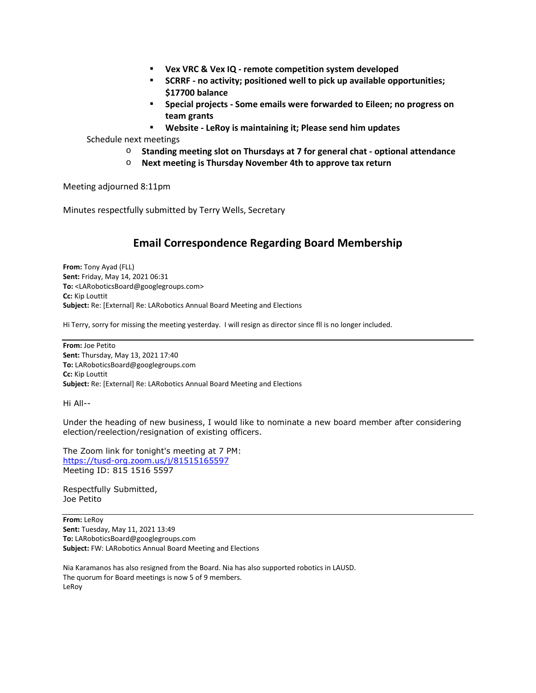- **Vex VRC & Vex IQ remote competition system developed**
- **SCRRF no activity; positioned well to pick up available opportunities; \$17700 balance**
- **Special projects Some emails were forwarded to Eileen; no progress on team grants**
- **Website LeRoy is maintaining it; Please send him updates**

Schedule next meetings

- o **Standing meeting slot on Thursdays at 7 for general chat optional attendance**
- o **Next meeting is Thursday November 4th to approve tax return**

Meeting adjourned 8:11pm

Minutes respectfully submitted by Terry Wells, Secretary

## **Email Correspondence Regarding Board Membership**

**From:** Tony Ayad (FLL) **Sent:** Friday, May 14, 2021 06:31 **To:** <LARoboticsBoard@googlegroups.com> **Cc:** Kip Louttit **Subject:** Re: [External] Re: LARobotics Annual Board Meeting and Elections

Hi Terry, sorry for missing the meeting yesterday. I will resign as director since fll is no longer included.

**From:** Joe Petito **Sent:** Thursday, May 13, 2021 17:40 **To:** LARoboticsBoard@googlegroups.com **Cc:** Kip Louttit **Subject:** Re: [External] Re: LARobotics Annual Board Meeting and Elections

Hi All--

Under the heading of new business, I would like to nominate a new board member after considering election/reelection/resignation of existing officers.

The Zoom link for tonight's meeting at 7 PM: https://tusd-org.zoom.us/j/81515165597 Meeting ID: 815 1516 5597

Respectfully Submitted, Joe Petito

**From:** LeRoy **Sent:** Tuesday, May 11, 2021 13:49 **To:** LARoboticsBoard@googlegroups.com **Subject:** FW: LARobotics Annual Board Meeting and Elections

Nia Karamanos has also resigned from the Board. Nia has also supported robotics in LAUSD. The quorum for Board meetings is now 5 of 9 members. LeRoy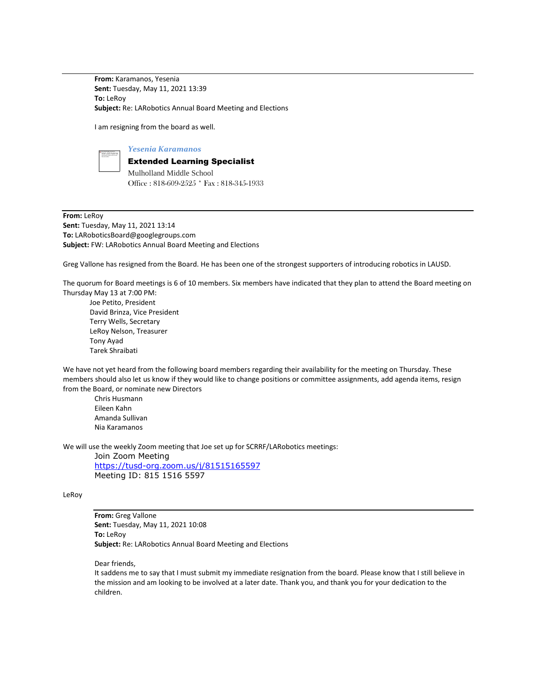**From:** Karamanos, Yesenia **Sent:** Tuesday, May 11, 2021 13:39 **To:** LeRoy **Subject:** Re: LARobotics Annual Board Meeting and Elections

I am resigning from the board as well.

#### *Yesenia Karamanos*

### Extended Learning Specialist

Mulholland Middle School Office : 818-609-2525 \* Fax : 818-345-1933

**From:** LeRoy **Sent:** Tuesday, May 11, 2021 13:14 **To:** LARoboticsBoard@googlegroups.com **Subject:** FW: LARobotics Annual Board Meeting and Elections

Greg Vallone has resigned from the Board. He has been one of the strongest supporters of introducing robotics in LAUSD.

The quorum for Board meetings is 6 of 10 members. Six members have indicated that they plan to attend the Board meeting on Thursday May 13 at 7:00 PM:

 Joe Petito, President David Brinza, Vice President Terry Wells, Secretary LeRoy Nelson, Treasurer Tony Ayad Tarek Shraibati

We have not yet heard from the following board members regarding their availability for the meeting on Thursday. These members should also let us know if they would like to change positions or committee assignments, add agenda items, resign from the Board, or nominate new Directors

Chris Husmann Eileen Kahn Amanda Sullivan Nia Karamanos

We will use the weekly Zoom meeting that Joe set up for SCRRF/LARobotics meetings:

Join Zoom Meeting https://tusd-org.zoom.us/j/81515165597 Meeting ID: 815 1516 5597

#### LeRoy

**From:** Greg Vallone **Sent:** Tuesday, May 11, 2021 10:08 **To:** LeRoy **Subject:** Re: LARobotics Annual Board Meeting and Elections

Dear friends,

It saddens me to say that I must submit my immediate resignation from the board. Please know that I still believe in the mission and am looking to be involved at a later date. Thank you, and thank you for your dedication to the children.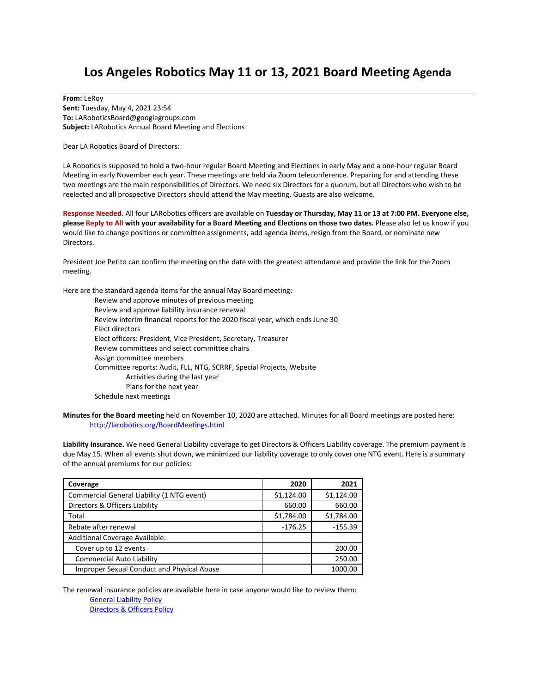## **Los Angeles Robotics May 11 or 13, 2021 Board Meeting Agenda**

**From:** LeRoy **Sent:** Tuesday, May 4, 2021 23:54 **To:** LARoboticsBoard@googlegroups.com **Subject:** LARobotics Annual Board Meeting and Elections

Dear LA Robotics Board of Directors:

LA Robotics is supposed to hold a two-hour regular Board Meeting and Elections in early May and a one-hour regular Board Meeting in early November each year. These meetings are held via Zoom teleconference. Preparing for and attending these two meetings are the main responsibilities of Directors. We need six Directors for a quorum, but all Directors who wish to be reelected and all prospective Directors should attend the May meeting. Guests are also welcome.

**Response Needed.** All four LARobotics officers are available on **Tuesday or Thursday, May 11 or 13 at 7:00 PM. Everyone else, please Reply to All with your availability for a Board Meeting and Elections on those two dates.** Please also let us know if you would like to change positions or committee assignments, add agenda items, resign from the Board, or nominate new Directors.

President Joe Petito can confirm the meeting on the date with the greatest attendance and provide the link for the Zoom meeting.

Here are the standard agenda items for the annual May Board meeting:

Review and approve minutes of previous meeting Review and approve liability insurance renewal Review interim financial reports for the 2020 fiscal year, which ends June 30 Elect directors Elect officers: President, Vice President, Secretary, Treasurer Review committees and select committee chairs Assign committee members Committee reports: Audit, FLL, NTG, SCRRF, Special Projects, Website Activities during the last year Plans for the next year Schedule next meetings

**Minutes for the Board meeting** held on November 10, 2020 are attached. Minutes for all Board meetings are posted here: http://larobotics.org/BoardMeetings.html

**Liability Insurance.** We need General Liability coverage to get Directors & Officers Liability coverage. The premium payment is due May 15. When all events shut down, we minimized our liability coverage to only cover one NTG event. Here is a summary of the annual premiums for our policies:

| Coverage                                   | 2020       | 2021       |
|--------------------------------------------|------------|------------|
| Commercial General Liability (1 NTG event) | \$1,124.00 | \$1,124.00 |
| Directors & Officers Liability             | 660.00     | 660.00     |
| Total                                      | \$1,784.00 | \$1,784.00 |
| Rebate after renewal                       | $-176.25$  | $-155.39$  |
| <b>Additional Coverage Available:</b>      |            |            |
| Cover up to 12 events                      |            | 200.00     |
| Commercial Auto Liability                  |            | 250.00     |
| Improper Sexual Conduct and Physical Abuse |            | 1000.00    |

The renewal insurance policies are available here in case anyone would like to review them: General Liability Policy

Directors & Officers Policy